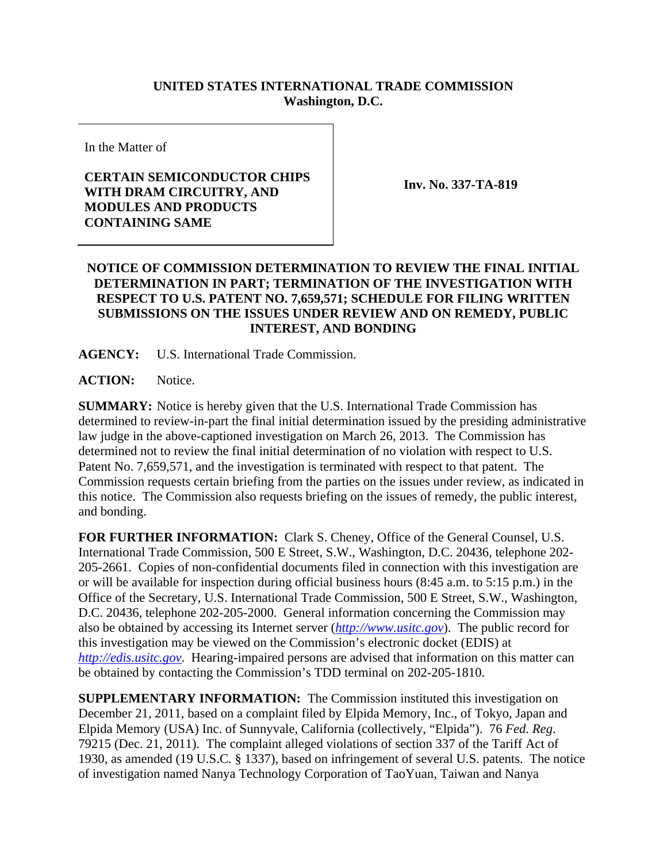## **UNITED STATES INTERNATIONAL TRADE COMMISSION Washington, D.C.**

In the Matter of

## **CERTAIN SEMICONDUCTOR CHIPS WITH DRAM CIRCUITRY, AND MODULES AND PRODUCTS CONTAINING SAME**

**Inv. No. 337-TA-819**

## **NOTICE OF COMMISSION DETERMINATION TO REVIEW THE FINAL INITIAL DETERMINATION IN PART; TERMINATION OF THE INVESTIGATION WITH RESPECT TO U.S. PATENT NO. 7,659,571; SCHEDULE FOR FILING WRITTEN SUBMISSIONS ON THE ISSUES UNDER REVIEW AND ON REMEDY, PUBLIC INTEREST, AND BONDING**

**AGENCY:** U.S. International Trade Commission.

**ACTION:** Notice.

**SUMMARY:** Notice is hereby given that the U.S. International Trade Commission has determined to review-in-part the final initial determination issued by the presiding administrative law judge in the above-captioned investigation on March 26, 2013. The Commission has determined not to review the final initial determination of no violation with respect to U.S. Patent No. 7,659,571, and the investigation is terminated with respect to that patent. The Commission requests certain briefing from the parties on the issues under review, as indicated in this notice. The Commission also requests briefing on the issues of remedy, the public interest, and bonding.

**FOR FURTHER INFORMATION:** Clark S. Cheney, Office of the General Counsel, U.S. International Trade Commission, 500 E Street, S.W., Washington, D.C. 20436, telephone 202- 205-2661. Copies of non-confidential documents filed in connection with this investigation are or will be available for inspection during official business hours (8:45 a.m. to 5:15 p.m.) in the Office of the Secretary, U.S. International Trade Commission, 500 E Street, S.W., Washington, D.C. 20436, telephone 202-205-2000. General information concerning the Commission may also be obtained by accessing its Internet server (*http://www.usitc.gov*). The public record for this investigation may be viewed on the Commission's electronic docket (EDIS) at *http://edis.usitc.gov*. Hearing-impaired persons are advised that information on this matter can be obtained by contacting the Commission's TDD terminal on 202-205-1810.

**SUPPLEMENTARY INFORMATION:** The Commission instituted this investigation on December 21, 2011, based on a complaint filed by Elpida Memory, Inc., of Tokyo, Japan and Elpida Memory (USA) Inc. of Sunnyvale, California (collectively, "Elpida"). 76 *Fed. Reg*. 79215 (Dec. 21, 2011). The complaint alleged violations of section 337 of the Tariff Act of 1930, as amended (19 U.S.C. § 1337), based on infringement of several U.S. patents. The notice of investigation named Nanya Technology Corporation of TaoYuan, Taiwan and Nanya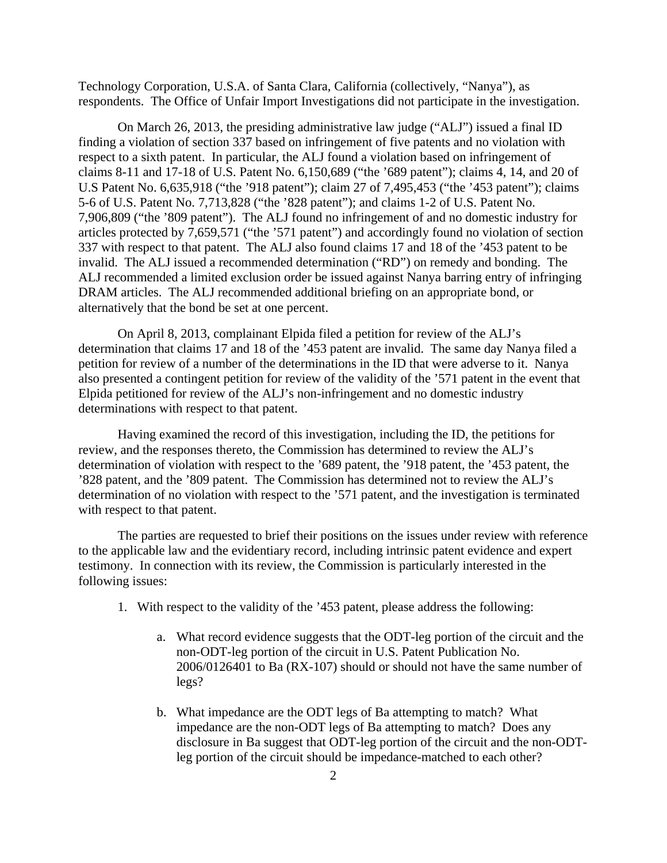Technology Corporation, U.S.A. of Santa Clara, California (collectively, "Nanya"), as respondents. The Office of Unfair Import Investigations did not participate in the investigation.

On March 26, 2013, the presiding administrative law judge ("ALJ") issued a final ID finding a violation of section 337 based on infringement of five patents and no violation with respect to a sixth patent. In particular, the ALJ found a violation based on infringement of claims 8-11 and 17-18 of U.S. Patent No. 6,150,689 ("the '689 patent"); claims 4, 14, and 20 of U.S Patent No. 6,635,918 ("the '918 patent"); claim 27 of 7,495,453 ("the '453 patent"); claims 5-6 of U.S. Patent No. 7,713,828 ("the '828 patent"); and claims 1-2 of U.S. Patent No. 7,906,809 ("the '809 patent"). The ALJ found no infringement of and no domestic industry for articles protected by 7,659,571 ("the '571 patent") and accordingly found no violation of section 337 with respect to that patent. The ALJ also found claims 17 and 18 of the '453 patent to be invalid. The ALJ issued a recommended determination ("RD") on remedy and bonding. The ALJ recommended a limited exclusion order be issued against Nanya barring entry of infringing DRAM articles. The ALJ recommended additional briefing on an appropriate bond, or alternatively that the bond be set at one percent.

On April 8, 2013, complainant Elpida filed a petition for review of the ALJ's determination that claims 17 and 18 of the '453 patent are invalid. The same day Nanya filed a petition for review of a number of the determinations in the ID that were adverse to it. Nanya also presented a contingent petition for review of the validity of the '571 patent in the event that Elpida petitioned for review of the ALJ's non-infringement and no domestic industry determinations with respect to that patent.

Having examined the record of this investigation, including the ID, the petitions for review, and the responses thereto, the Commission has determined to review the ALJ's determination of violation with respect to the '689 patent, the '918 patent, the '453 patent, the '828 patent, and the '809 patent. The Commission has determined not to review the ALJ's determination of no violation with respect to the '571 patent, and the investigation is terminated with respect to that patent.

The parties are requested to brief their positions on the issues under review with reference to the applicable law and the evidentiary record, including intrinsic patent evidence and expert testimony. In connection with its review, the Commission is particularly interested in the following issues:

- 1. With respect to the validity of the '453 patent, please address the following:
	- a. What record evidence suggests that the ODT-leg portion of the circuit and the non-ODT-leg portion of the circuit in U.S. Patent Publication No. 2006/0126401 to Ba (RX-107) should or should not have the same number of legs?
	- b. What impedance are the ODT legs of Ba attempting to match? What impedance are the non-ODT legs of Ba attempting to match? Does any disclosure in Ba suggest that ODT-leg portion of the circuit and the non-ODTleg portion of the circuit should be impedance-matched to each other?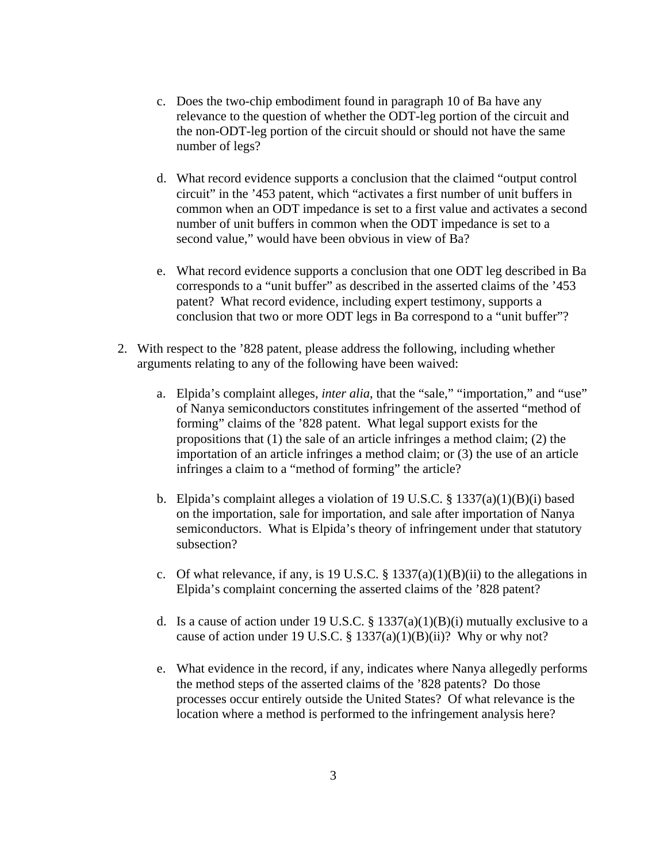- c. Does the two-chip embodiment found in paragraph 10 of Ba have any relevance to the question of whether the ODT-leg portion of the circuit and the non-ODT-leg portion of the circuit should or should not have the same number of legs?
- d. What record evidence supports a conclusion that the claimed "output control circuit" in the '453 patent, which "activates a first number of unit buffers in common when an ODT impedance is set to a first value and activates a second number of unit buffers in common when the ODT impedance is set to a second value," would have been obvious in view of Ba?
- e. What record evidence supports a conclusion that one ODT leg described in Ba corresponds to a "unit buffer" as described in the asserted claims of the '453 patent? What record evidence, including expert testimony, supports a conclusion that two or more ODT legs in Ba correspond to a "unit buffer"?
- 2. With respect to the '828 patent, please address the following, including whether arguments relating to any of the following have been waived:
	- a. Elpida's complaint alleges, *inter alia*, that the "sale," "importation," and "use" of Nanya semiconductors constitutes infringement of the asserted "method of forming" claims of the '828 patent. What legal support exists for the propositions that (1) the sale of an article infringes a method claim; (2) the importation of an article infringes a method claim; or (3) the use of an article infringes a claim to a "method of forming" the article?
	- b. Elpida's complaint alleges a violation of 19 U.S.C.  $\S$  1337(a)(1)(B)(i) based on the importation, sale for importation, and sale after importation of Nanya semiconductors. What is Elpida's theory of infringement under that statutory subsection?
	- c. Of what relevance, if any, is 19 U.S.C.  $\S$  1337(a)(1)(B)(ii) to the allegations in Elpida's complaint concerning the asserted claims of the '828 patent?
	- d. Is a cause of action under 19 U.S.C. § 1337(a)(1)(B)(i) mutually exclusive to a cause of action under 19 U.S.C. § 1337(a)(1)(B)(ii)? Why or why not?
	- e. What evidence in the record, if any, indicates where Nanya allegedly performs the method steps of the asserted claims of the '828 patents? Do those processes occur entirely outside the United States? Of what relevance is the location where a method is performed to the infringement analysis here?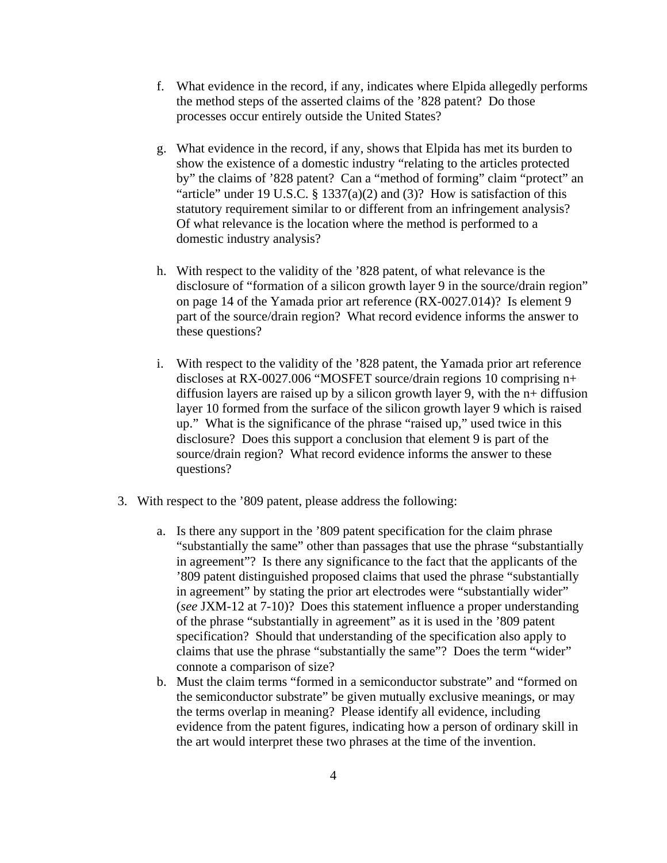- f. What evidence in the record, if any, indicates where Elpida allegedly performs the method steps of the asserted claims of the '828 patent? Do those processes occur entirely outside the United States?
- g. What evidence in the record, if any, shows that Elpida has met its burden to show the existence of a domestic industry "relating to the articles protected by" the claims of '828 patent? Can a "method of forming" claim "protect" an "article" under 19 U.S.C.  $\S$  1337(a)(2) and (3)? How is satisfaction of this statutory requirement similar to or different from an infringement analysis? Of what relevance is the location where the method is performed to a domestic industry analysis?
- h. With respect to the validity of the '828 patent, of what relevance is the disclosure of "formation of a silicon growth layer 9 in the source/drain region" on page 14 of the Yamada prior art reference (RX-0027.014)? Is element 9 part of the source/drain region? What record evidence informs the answer to these questions?
- i. With respect to the validity of the '828 patent, the Yamada prior art reference discloses at RX-0027.006 "MOSFET source/drain regions 10 comprising n+ diffusion layers are raised up by a silicon growth layer 9, with the n+ diffusion layer 10 formed from the surface of the silicon growth layer 9 which is raised up." What is the significance of the phrase "raised up," used twice in this disclosure? Does this support a conclusion that element 9 is part of the source/drain region? What record evidence informs the answer to these questions?
- 3. With respect to the '809 patent, please address the following:
	- a. Is there any support in the '809 patent specification for the claim phrase "substantially the same" other than passages that use the phrase "substantially in agreement"? Is there any significance to the fact that the applicants of the '809 patent distinguished proposed claims that used the phrase "substantially in agreement" by stating the prior art electrodes were "substantially wider" (*see* JXM-12 at 7-10)? Does this statement influence a proper understanding of the phrase "substantially in agreement" as it is used in the '809 patent specification? Should that understanding of the specification also apply to claims that use the phrase "substantially the same"? Does the term "wider" connote a comparison of size?
	- b. Must the claim terms "formed in a semiconductor substrate" and "formed on the semiconductor substrate" be given mutually exclusive meanings, or may the terms overlap in meaning? Please identify all evidence, including evidence from the patent figures, indicating how a person of ordinary skill in the art would interpret these two phrases at the time of the invention.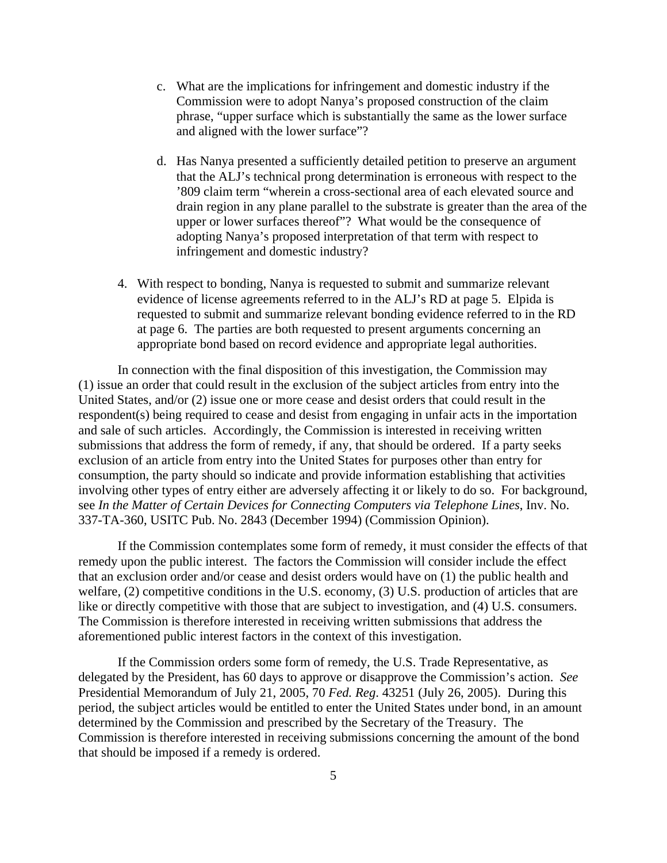- c. What are the implications for infringement and domestic industry if the Commission were to adopt Nanya's proposed construction of the claim phrase, "upper surface which is substantially the same as the lower surface and aligned with the lower surface"?
- d. Has Nanya presented a sufficiently detailed petition to preserve an argument that the ALJ's technical prong determination is erroneous with respect to the '809 claim term "wherein a cross-sectional area of each elevated source and drain region in any plane parallel to the substrate is greater than the area of the upper or lower surfaces thereof"? What would be the consequence of adopting Nanya's proposed interpretation of that term with respect to infringement and domestic industry?
- 4. With respect to bonding, Nanya is requested to submit and summarize relevant evidence of license agreements referred to in the ALJ's RD at page 5. Elpida is requested to submit and summarize relevant bonding evidence referred to in the RD at page 6. The parties are both requested to present arguments concerning an appropriate bond based on record evidence and appropriate legal authorities.

In connection with the final disposition of this investigation, the Commission may (1) issue an order that could result in the exclusion of the subject articles from entry into the United States, and/or (2) issue one or more cease and desist orders that could result in the respondent(s) being required to cease and desist from engaging in unfair acts in the importation and sale of such articles. Accordingly, the Commission is interested in receiving written submissions that address the form of remedy, if any, that should be ordered. If a party seeks exclusion of an article from entry into the United States for purposes other than entry for consumption, the party should so indicate and provide information establishing that activities involving other types of entry either are adversely affecting it or likely to do so. For background, see *In the Matter of Certain Devices for Connecting Computers via Telephone Lines*, Inv. No. 337-TA-360, USITC Pub. No. 2843 (December 1994) (Commission Opinion).

If the Commission contemplates some form of remedy, it must consider the effects of that remedy upon the public interest. The factors the Commission will consider include the effect that an exclusion order and/or cease and desist orders would have on (1) the public health and welfare, (2) competitive conditions in the U.S. economy, (3) U.S. production of articles that are like or directly competitive with those that are subject to investigation, and (4) U.S. consumers. The Commission is therefore interested in receiving written submissions that address the aforementioned public interest factors in the context of this investigation.

If the Commission orders some form of remedy, the U.S. Trade Representative, as delegated by the President, has 60 days to approve or disapprove the Commission's action. *See* Presidential Memorandum of July 21, 2005, 70 *Fed. Reg*. 43251 (July 26, 2005). During this period, the subject articles would be entitled to enter the United States under bond, in an amount determined by the Commission and prescribed by the Secretary of the Treasury. The Commission is therefore interested in receiving submissions concerning the amount of the bond that should be imposed if a remedy is ordered.